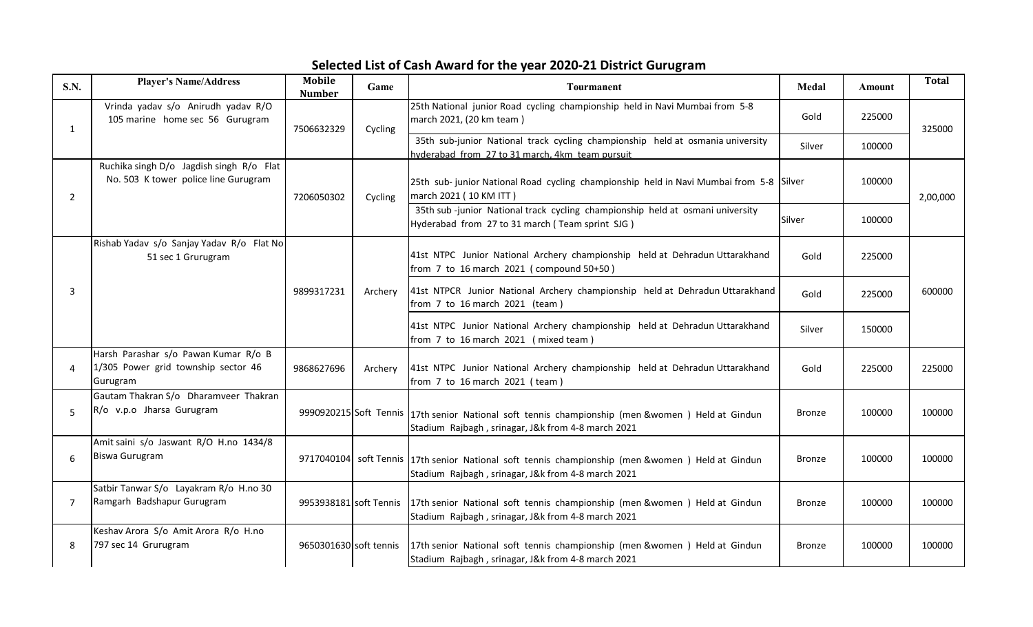## Selected List of Cash Award for the year 2020-21 District Gurugram

| <b>S.N.</b>    | <b>Player's Name/Address</b>                                                            | <b>Mobile</b><br><b>Number</b> | Game                   | Tourmanent                                                                                                                                             | Medal         | <b>Amount</b> | <b>Total</b> |
|----------------|-----------------------------------------------------------------------------------------|--------------------------------|------------------------|--------------------------------------------------------------------------------------------------------------------------------------------------------|---------------|---------------|--------------|
| 1              | Vrinda yadav s/o Anirudh yadav R/O<br>105 marine home sec 56 Gurugram                   | 7506632329                     | Cycling                | 25th National junior Road cycling championship held in Navi Mumbai from 5-8<br>march 2021, (20 km team)                                                | Gold          | 225000        | 325000       |
|                |                                                                                         |                                |                        | 35th sub-junior National track cycling championship held at osmania university<br>hyderabad from 27 to 31 march, 4km team pursuit                      | Silver        | 100000        |              |
| $\overline{2}$ | Ruchika singh D/o Jagdish singh R/o Flat<br>No. 503 K tower police line Gurugram        | 7206050302                     | Cycling                | 25th sub-junior National Road cycling championship held in Navi Mumbai from 5-8 Silver<br>march 2021 (10 KM ITT)                                       |               | 100000        | 2,00,000     |
|                |                                                                                         |                                |                        | 35th sub-junior National track cycling championship held at osmani university<br>Hyderabad from 27 to 31 march (Team sprint SJG)                       | Silver        | 100000        |              |
| 3              | Rishab Yadav s/o Sanjay Yadav R/o Flat No<br>51 sec 1 Grurugram                         |                                | Archery                | 41st NTPC Junior National Archery championship held at Dehradun Uttarakhand<br>from 7 to 16 march 2021 (compound 50+50)                                | Gold          | 225000        | 600000       |
|                |                                                                                         | 9899317231                     |                        | 41st NTPCR Junior National Archery championship held at Dehradun Uttarakhand<br>from 7 to 16 march 2021 (team)                                         | Gold          | 225000        |              |
|                |                                                                                         |                                |                        | 41st NTPC Junior National Archery championship held at Dehradun Uttarakhand<br>from 7 to 16 march 2021 (mixed team)                                    | Silver        | 150000        |              |
| 4              | Harsh Parashar s/o Pawan Kumar R/o B<br>1/305 Power grid township sector 46<br>Gurugram | 9868627696                     | Archery                | 41st NTPC Junior National Archery championship held at Dehradun Uttarakhand<br>from 7 to 16 march 2021 (team)                                          | Gold          | 225000        | 225000       |
| 5              | Gautam Thakran S/o Dharamveer Thakran<br>R/o v.p.o Jharsa Gurugram                      |                                |                        | 9990920215 Soft Tennis 17th senior National soft tennis championship (men &women) Held at Gindun<br>Stadium Rajbagh, srinagar, J&k from 4-8 march 2021 | <b>Bronze</b> | 100000        | 100000       |
| 6              | Amit saini s/o Jaswant R/O H.no 1434/8<br><b>Biswa Gurugram</b>                         |                                |                        | 9717040104 soft Tennis 17th senior National soft tennis championship (men &women) Held at Gindun<br>Stadium Rajbagh, srinagar, J&k from 4-8 march 2021 | <b>Bronze</b> | 100000        | 100000       |
| $\overline{7}$ | Satbir Tanwar S/o Layakram R/o H.no 30<br>Ramgarh Badshapur Gurugram                    |                                | 9953938181 soft Tennis | 17th senior National soft tennis championship (men & women) Held at Gindun<br>Stadium Rajbagh, srinagar, J&k from 4-8 march 2021                       | <b>Bronze</b> | 100000        | 100000       |
| 8              | Keshav Arora S/o Amit Arora R/o H.no<br>797 sec 14 Grurugram                            | 9650301630 soft tennis         |                        | 17th senior National soft tennis championship (men &women) Held at Gindun<br>Stadium Rajbagh, srinagar, J&k from 4-8 march 2021                        | <b>Bronze</b> | 100000        | 100000       |